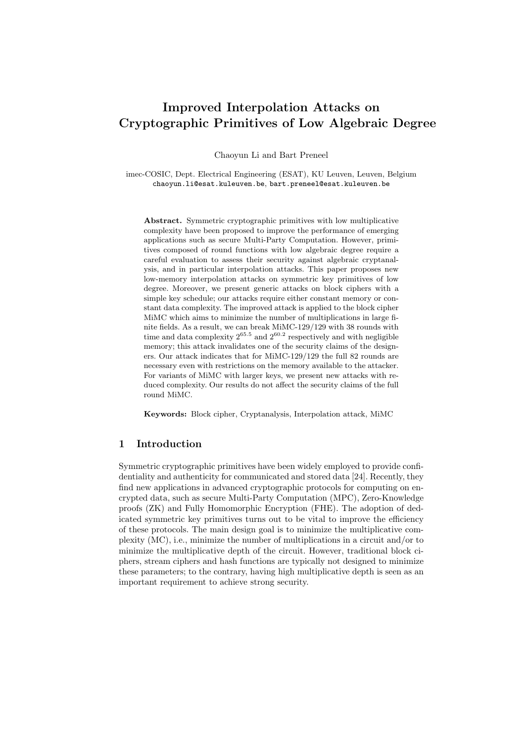# Improved Interpolation Attacks on Cryptographic Primitives of Low Algebraic Degree

Chaoyun Li and Bart Preneel

imec-COSIC, Dept. Electrical Engineering (ESAT), KU Leuven, Leuven, Belgium chaoyun.li@esat.kuleuven.be, bart.preneel@esat.kuleuven.be

Abstract. Symmetric cryptographic primitives with low multiplicative complexity have been proposed to improve the performance of emerging applications such as secure Multi-Party Computation. However, primitives composed of round functions with low algebraic degree require a careful evaluation to assess their security against algebraic cryptanalysis, and in particular interpolation attacks. This paper proposes new low-memory interpolation attacks on symmetric key primitives of low degree. Moreover, we present generic attacks on block ciphers with a simple key schedule; our attacks require either constant memory or constant data complexity. The improved attack is applied to the block cipher MiMC which aims to minimize the number of multiplications in large finite fields. As a result, we can break MiMC-129/129 with 38 rounds with time and data complexity  $2^{65.5}$  and  $2^{60.2}$  respectively and with negligible memory; this attack invalidates one of the security claims of the designers. Our attack indicates that for MiMC-129/129 the full 82 rounds are necessary even with restrictions on the memory available to the attacker. For variants of MiMC with larger keys, we present new attacks with reduced complexity. Our results do not affect the security claims of the full round MiMC.

Keywords: Block cipher, Cryptanalysis, Interpolation attack, MiMC

# 1 Introduction

Symmetric cryptographic primitives have been widely employed to provide confidentiality and authenticity for communicated and stored data [24]. Recently, they find new applications in advanced cryptographic protocols for computing on encrypted data, such as secure Multi-Party Computation (MPC), Zero-Knowledge proofs (ZK) and Fully Homomorphic Encryption (FHE). The adoption of dedicated symmetric key primitives turns out to be vital to improve the efficiency of these protocols. The main design goal is to minimize the multiplicative complexity (MC), i.e., minimize the number of multiplications in a circuit and/or to minimize the multiplicative depth of the circuit. However, traditional block ciphers, stream ciphers and hash functions are typically not designed to minimize these parameters; to the contrary, having high multiplicative depth is seen as an important requirement to achieve strong security.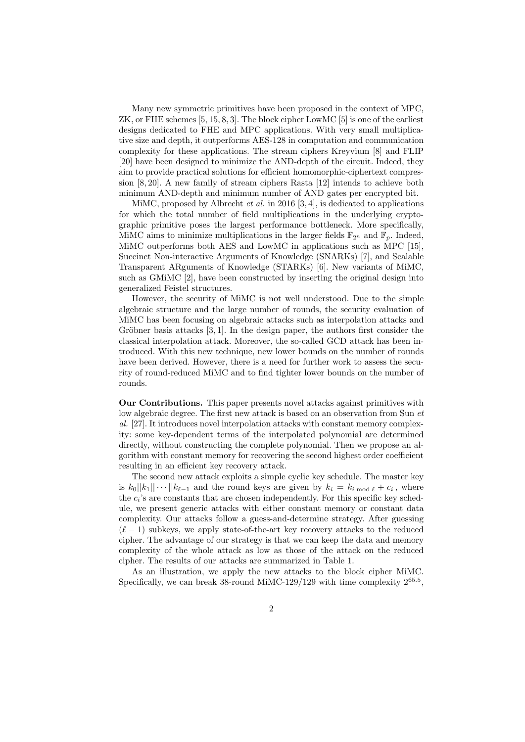Many new symmetric primitives have been proposed in the context of MPC, ZK, or FHE schemes [5, 15, 8, 3]. The block cipher LowMC [5] is one of the earliest designs dedicated to FHE and MPC applications. With very small multiplicative size and depth, it outperforms AES-128 in computation and communication complexity for these applications. The stream ciphers Kreyvium [8] and FLIP [20] have been designed to minimize the AND-depth of the circuit. Indeed, they aim to provide practical solutions for efficient homomorphic-ciphertext compression [8, 20]. A new family of stream ciphers Rasta [12] intends to achieve both minimum AND-depth and minimum number of AND gates per encrypted bit.

MiMC, proposed by Albrecht *et al.* in 2016 [3, 4], is dedicated to applications for which the total number of field multiplications in the underlying cryptographic primitive poses the largest performance bottleneck. More specifically, MiMC aims to minimize multiplications in the larger fields  $\mathbb{F}_{2^n}$  and  $\mathbb{F}_p$ . Indeed, MiMC outperforms both AES and LowMC in applications such as MPC [15], Succinct Non-interactive Arguments of Knowledge (SNARKs) [7], and Scalable Transparent ARguments of Knowledge (STARKs) [6]. New variants of MiMC, such as GMiMC [2], have been constructed by inserting the original design into generalized Feistel structures.

However, the security of MiMC is not well understood. Due to the simple algebraic structure and the large number of rounds, the security evaluation of MiMC has been focusing on algebraic attacks such as interpolation attacks and Gröbner basis attacks  $[3, 1]$ . In the design paper, the authors first consider the classical interpolation attack. Moreover, the so-called GCD attack has been introduced. With this new technique, new lower bounds on the number of rounds have been derived. However, there is a need for further work to assess the security of round-reduced MiMC and to find tighter lower bounds on the number of rounds.

Our Contributions. This paper presents novel attacks against primitives with low algebraic degree. The first new attack is based on an observation from Sun *et* al. [27]. It introduces novel interpolation attacks with constant memory complexity: some key-dependent terms of the interpolated polynomial are determined directly, without constructing the complete polynomial. Then we propose an algorithm with constant memory for recovering the second highest order coefficient resulting in an efficient key recovery attack.

The second new attack exploits a simple cyclic key schedule. The master key is  $k_0||k_1|| \cdots ||k_{\ell-1}$  and the round keys are given by  $k_i = k_{i \mod \ell} + c_i$ , where the  $c_i$ 's are constants that are chosen independently. For this specific key schedule, we present generic attacks with either constant memory or constant data complexity. Our attacks follow a guess-and-determine strategy. After guessing  $(\ell - 1)$  subkeys, we apply state-of-the-art key recovery attacks to the reduced cipher. The advantage of our strategy is that we can keep the data and memory complexity of the whole attack as low as those of the attack on the reduced cipher. The results of our attacks are summarized in Table 1.

As an illustration, we apply the new attacks to the block cipher MiMC. Specifically, we can break  $38$ -round MiMC-129/129 with time complexity  $2^{65.5}$ ,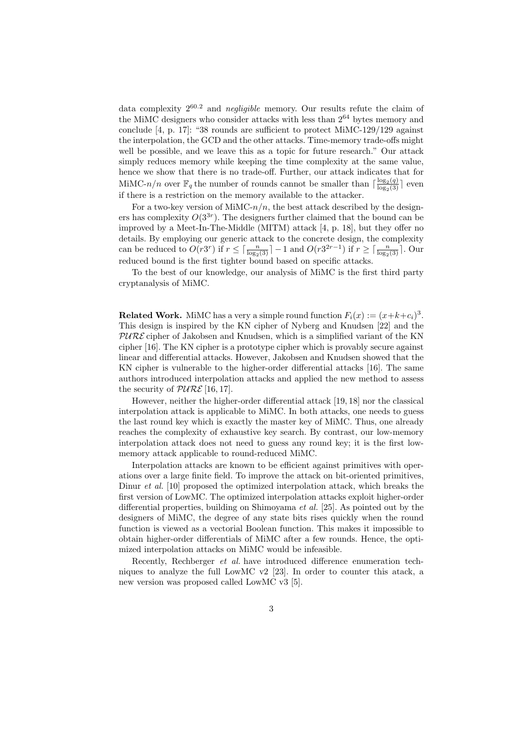data complexity  $2^{60.2}$  and negligible memory. Our results refute the claim of the MiMC designers who consider attacks with less than  $2^{64}$  bytes memory and conclude [4, p. 17]: "38 rounds are sufficient to protect MiMC-129/129 against the interpolation, the GCD and the other attacks. Time-memory trade-offs might well be possible, and we leave this as a topic for future research." Our attack simply reduces memory while keeping the time complexity at the same value, hence we show that there is no trade-off. Further, our attack indicates that for MiMC- $n/n$  over  $\mathbb{F}_q$  the number of rounds cannot be smaller than  $\lceil \frac{\log_2(q)}{\log_2(3)} \rceil$  $\frac{\log_2(q)}{\log_2(3)}$  even if there is a restriction on the memory available to the attacker.

For a two-key version of MiMC- $n/n$ , the best attack described by the designers has complexity  $O(3^{3r})$ . The designers further claimed that the bound can be improved by a Meet-In-The-Middle (MITM) attack [4, p. 18], but they offer no details. By employing our generic attack to the concrete design, the complexity can be reduced to  $O(r3^r)$  if  $r \leq \lceil \frac{n}{\log_2(3)} \rceil - 1$  and  $O(r3^{2r-1})$  if  $r \geq \lceil \frac{n}{\log_2(3)} \rceil$ . Our reduced bound is the first tighter bound based on specific attacks.

To the best of our knowledge, our analysis of MiMC is the first third party cryptanalysis of MiMC.

**Related Work.** MiMC has a very a simple round function  $F_i(x) := (x + k + c_i)^3$ . This design is inspired by the KN cipher of Nyberg and Knudsen [22] and the  $PURE$  cipher of Jakobsen and Knudsen, which is a simplified variant of the KN cipher [16]. The KN cipher is a prototype cipher which is provably secure against linear and differential attacks. However, Jakobsen and Knudsen showed that the KN cipher is vulnerable to the higher-order differential attacks [16]. The same authors introduced interpolation attacks and applied the new method to assess the security of  $PURE$  [16, 17].

However, neither the higher-order differential attack [19, 18] nor the classical interpolation attack is applicable to MiMC. In both attacks, one needs to guess the last round key which is exactly the master key of MiMC. Thus, one already reaches the complexity of exhaustive key search. By contrast, our low-memory interpolation attack does not need to guess any round key; it is the first lowmemory attack applicable to round-reduced MiMC.

Interpolation attacks are known to be efficient against primitives with operations over a large finite field. To improve the attack on bit-oriented primitives, Dinur *et al.* [10] proposed the optimized interpolation attack, which breaks the first version of LowMC. The optimized interpolation attacks exploit higher-order differential properties, building on Shimoyama *et al.* [25]. As pointed out by the designers of MiMC, the degree of any state bits rises quickly when the round function is viewed as a vectorial Boolean function. This makes it impossible to obtain higher-order differentials of MiMC after a few rounds. Hence, the optimized interpolation attacks on MiMC would be infeasible.

Recently, Rechberger et al. have introduced difference enumeration techniques to analyze the full LowMC v2 [23]. In order to counter this atack, a new version was proposed called LowMC v3 [5].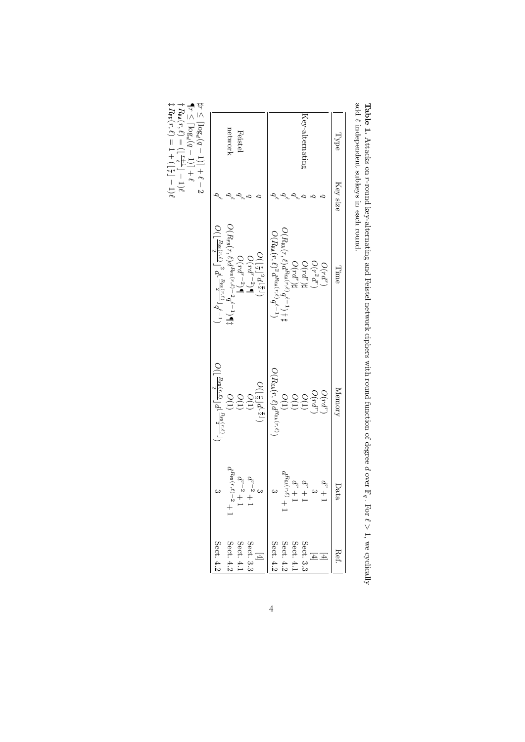| Jype            | Key size | Time                                                                                                                                                                                                                                                                                                                                              | Menory                                                                                                                                | Data                                   |
|-----------------|----------|---------------------------------------------------------------------------------------------------------------------------------------------------------------------------------------------------------------------------------------------------------------------------------------------------------------------------------------------------|---------------------------------------------------------------------------------------------------------------------------------------|----------------------------------------|
|                 |          | $O(r d^r)$                                                                                                                                                                                                                                                                                                                                        |                                                                                                                                       |                                        |
|                 |          | $O(r^2 d^r)$                                                                                                                                                                                                                                                                                                                                      |                                                                                                                                       |                                        |
| Key-alternating |          | $O(r d^r) \sharp$                                                                                                                                                                                                                                                                                                                                 |                                                                                                                                       |                                        |
|                 |          |                                                                                                                                                                                                                                                                                                                                                   |                                                                                                                                       |                                        |
|                 |          |                                                                                                                                                                                                                                                                                                                                                   |                                                                                                                                       | $d^{R_{\text{KA}}(r,\ell)}$<br>$d^r +$ |
|                 |          | $\begin{array}{l} O(r d^r) \sharp \\ O(R_{\mathrm{AA}}(r,\ell) d^{R_{\mathrm{RA}}(r,\ell)} q^{\ell-1}) \dagger_1 \\ O(R_{\mathrm{AA}}(r,\ell)^2 d^{R_{\mathrm{RA}}(r,\ell)} q^{\ell-1}) \end{array}$                                                                                                                                              | $\begin{array}{c} O(r d^r) \\ O(1) \\ O(1) \\ O(1) \\ O(1) \\ O(1) \\ O(R_{\text{RA}}(r,\ell) d^{R_{\text{MA}}(r,\ell)}) \end{array}$ |                                        |
|                 |          | $\begin{array}{c} O(\lfloor \frac{r}{2} \rfloor^2 d^{\lfloor \frac{r}{2} \rfloor}) \\ O(r d^{r-2}) \P \\ O(r d^{r-2}) \P \\ O(\lfloor \frac{R_{\text{FM}}(r,\ell)}{R_{\text{FM}}(r,\ell)} - 2q^{\ell-1}) \P \P \\ O(\lfloor \frac{R_{\text{FM}}(r,\ell)}{2} \rfloor^2 d^{\lfloor \frac{R_{\text{FM}}(r,\ell)}{2} - 2} d^{\ell-1}) \P \end{array}$ | $O(\lfloor \frac{r}{2} \rfloor d^{\lfloor \frac{r}{2} \rfloor})$<br>$O(1)$                                                            |                                        |
|                 |          |                                                                                                                                                                                                                                                                                                                                                   |                                                                                                                                       | $\frac{d^{r-2}}{d^{r-2}+}$             |
| Feistel         |          |                                                                                                                                                                                                                                                                                                                                                   |                                                                                                                                       |                                        |
| network         |          |                                                                                                                                                                                                                                                                                                                                                   | O(1)                                                                                                                                  | $d^{R_{\text{FM}}(r,\ell)-}$           |
|                 |          |                                                                                                                                                                                                                                                                                                                                                   | $O(\lfloor \frac{R_{\text{FM}}(r,\ell)}{2} \rfloor d^{\lfloor \frac{R_{\text{FM}}(r,\ell)}{2} \rfloor}$                               |                                        |

Table 1. Attacks on r-round key-alternating and Feistel network ciphers with round function of degree d over  $F_q$  . For  $\tilde{\zeta}$ 1, we cyclically  $\ell$  ppe independent subkeys in each round.

 $\frac{1}{1}$  $log_d(q 1)$  +  $\ell$  - 2 ¶<del>ب</del><br>ا—<br>¶  $log_d(q \frac{1}{2}$ †  $R_{\mathtt{KA}}(r,\ell)$  $(\frac{1}{1+1}) = ($  $\frac{1}{\sqrt{2}}$  $\widetilde{\chi}$ 

 $\frac{1}{4} R_{\text{FN}}(r,\ell)$ 

 $(-\frac{5}{4}) + 1 = 1$ 

 $\tilde{\ell}$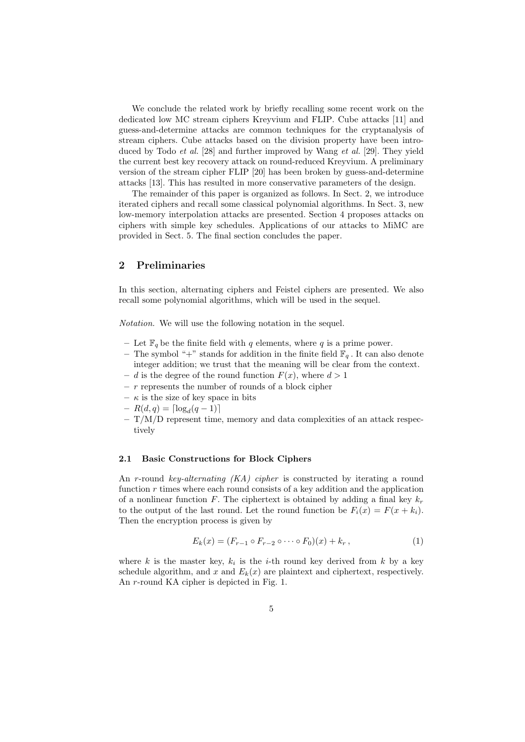We conclude the related work by briefly recalling some recent work on the dedicated low MC stream ciphers Kreyvium and FLIP. Cube attacks [11] and guess-and-determine attacks are common techniques for the cryptanalysis of stream ciphers. Cube attacks based on the division property have been introduced by Todo *et al.* [28] and further improved by Wang *et al.* [29]. They yield the current best key recovery attack on round-reduced Kreyvium. A preliminary version of the stream cipher FLIP [20] has been broken by guess-and-determine attacks [13]. This has resulted in more conservative parameters of the design.

The remainder of this paper is organized as follows. In Sect. 2, we introduce iterated ciphers and recall some classical polynomial algorithms. In Sect. 3, new low-memory interpolation attacks are presented. Section 4 proposes attacks on ciphers with simple key schedules. Applications of our attacks to MiMC are provided in Sect. 5. The final section concludes the paper.

# 2 Preliminaries

In this section, alternating ciphers and Feistel ciphers are presented. We also recall some polynomial algorithms, which will be used in the sequel.

Notation. We will use the following notation in the sequel.

- Let  $\mathbb{F}_q$  be the finite field with q elements, where q is a prime power.
- The symbol "+" stands for addition in the finite field  $\mathbb{F}_q$ . It can also denote integer addition; we trust that the meaning will be clear from the context.
- d is the degree of the round function  $F(x)$ , where  $d > 1$
- $r$  represents the number of rounds of a block cipher
- $\kappa$  is the size of key space in bits
- $R(d, q) = \lceil \log_d(q 1) \rceil$
- T/M/D represent time, memory and data complexities of an attack respectively

#### 2.1 Basic Constructions for Block Ciphers

An r-round key-alternating (KA) cipher is constructed by iterating a round function r times where each round consists of a key addition and the application of a nonlinear function F. The ciphertext is obtained by adding a final key  $k_r$ to the output of the last round. Let the round function be  $F_i(x) = F(x + k_i)$ . Then the encryption process is given by

$$
E_k(x) = (F_{r-1} \circ F_{r-2} \circ \cdots \circ F_0)(x) + k_r, \qquad (1)
$$

where k is the master key,  $k_i$  is the *i*-th round key derived from k by a key schedule algorithm, and x and  $E_k(x)$  are plaintext and ciphertext, respectively. An r-round KA cipher is depicted in Fig. 1.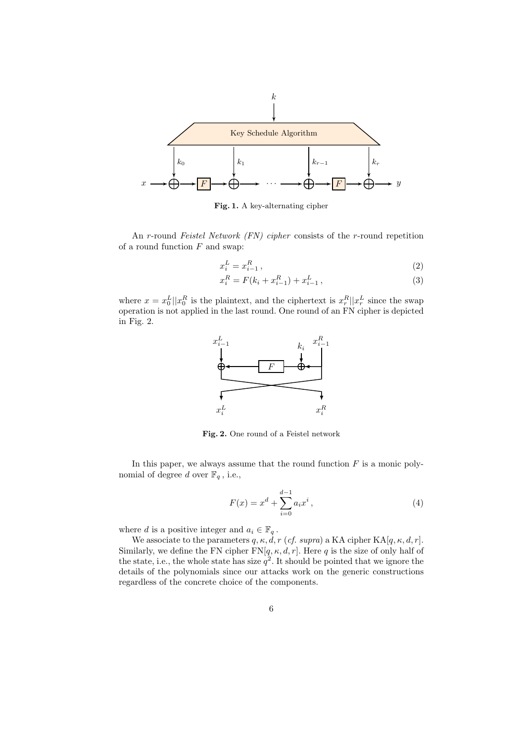

Fig. 1. A key-alternating cipher

An r-round Feistel Network (FN) cipher consists of the r-round repetition of a round function  $F$  and swap:

$$
x_i^L = x_{i-1}^R \,, \tag{2}
$$

$$
x_i^R = F(k_i + x_{i-1}^R) + x_{i-1}^L,
$$
\n(3)

where  $x = x_0^L ||x_0^R$  is the plaintext, and the ciphertext is  $x_r^R ||x_r^L$  since the swap operation is not applied in the last round. One round of an FN cipher is depicted in Fig. 2.



Fig. 2. One round of a Feistel network

In this paper, we always assume that the round function  $F$  is a monic polynomial of degree  $d$  over  $\mathbb{F}_q$  , i.e.,

d−1

$$
F(x) = x^{d} + \sum_{i=0}^{d-1} a_{i} x^{i},
$$
\n(4)

where d is a positive integer and  $a_i \in \mathbb{F}_q$ .

We associate to the parameters  $q, \kappa, \dot{d}, r$  (*cf. supra*) a KA cipher KA[ $q, \kappa, d, r$ ]. Similarly, we define the FN cipher  $FN[q, \kappa, d, r]$ . Here q is the size of only half of the state, i.e., the whole state has size  $q^2$ . It should be pointed that we ignore the details of the polynomials since our attacks work on the generic constructions regardless of the concrete choice of the components.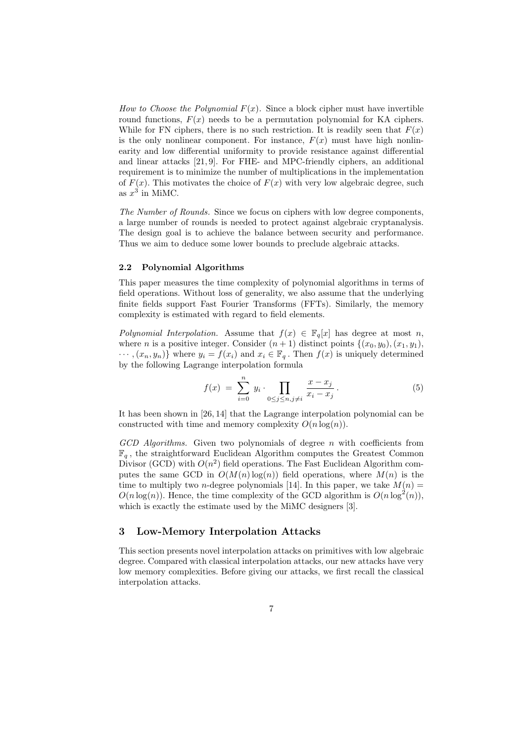How to Choose the Polynomial  $F(x)$ . Since a block cipher must have invertible round functions,  $F(x)$  needs to be a permutation polynomial for KA ciphers. While for FN ciphers, there is no such restriction. It is readily seen that  $F(x)$ is the only nonlinear component. For instance,  $F(x)$  must have high nonlinearity and low differential uniformity to provide resistance against differential and linear attacks [21, 9]. For FHE- and MPC-friendly ciphers, an additional requirement is to minimize the number of multiplications in the implementation of  $F(x)$ . This motivates the choice of  $F(x)$  with very low algebraic degree, such as  $x^3$  in MiMC.

The Number of Rounds. Since we focus on ciphers with low degree components, a large number of rounds is needed to protect against algebraic cryptanalysis. The design goal is to achieve the balance between security and performance. Thus we aim to deduce some lower bounds to preclude algebraic attacks.

### 2.2 Polynomial Algorithms

This paper measures the time complexity of polynomial algorithms in terms of field operations. Without loss of generality, we also assume that the underlying finite fields support Fast Fourier Transforms (FFTs). Similarly, the memory complexity is estimated with regard to field elements.

Polynomial Interpolation. Assume that  $f(x) \in \mathbb{F}_q[x]$  has degree at most n, where *n* is a positive integer. Consider  $(n + 1)$  distinct points  $\{(x_0, y_0), (x_1, y_1),$  $\cdots$ ,  $(x_n, y_n)$  where  $y_i = f(x_i)$  and  $x_i \in \mathbb{F}_q$ . Then  $f(x)$  is uniquely determined by the following Lagrange interpolation formula

$$
f(x) = \sum_{i=0}^{n} y_i \cdot \prod_{0 \le j \le n, j \ne i} \frac{x - x_j}{x_i - x_j}.
$$
 (5)

It has been shown in [26, 14] that the Lagrange interpolation polynomial can be constructed with time and memory complexity  $O(n \log(n))$ .

GCD Algorithms. Given two polynomials of degree n with coefficients from  $\mathbb{F}_q$ , the straightforward Euclidean Algorithm computes the Greatest Common Divisor (GCD) with  $O(n^2)$  field operations. The Fast Euclidean Algorithm computes the same GCD in  $O(M(n) \log(n))$  field operations, where  $M(n)$  is the time to multiply two *n*-degree polynomials [14]. In this paper, we take  $M(n)$  =  $O(n \log(n))$ . Hence, the time complexity of the GCD algorithm is  $O(n \log^2(n))$ , which is exactly the estimate used by the MiMC designers [3].

#### 3 Low-Memory Interpolation Attacks

This section presents novel interpolation attacks on primitives with low algebraic degree. Compared with classical interpolation attacks, our new attacks have very low memory complexities. Before giving our attacks, we first recall the classical interpolation attacks.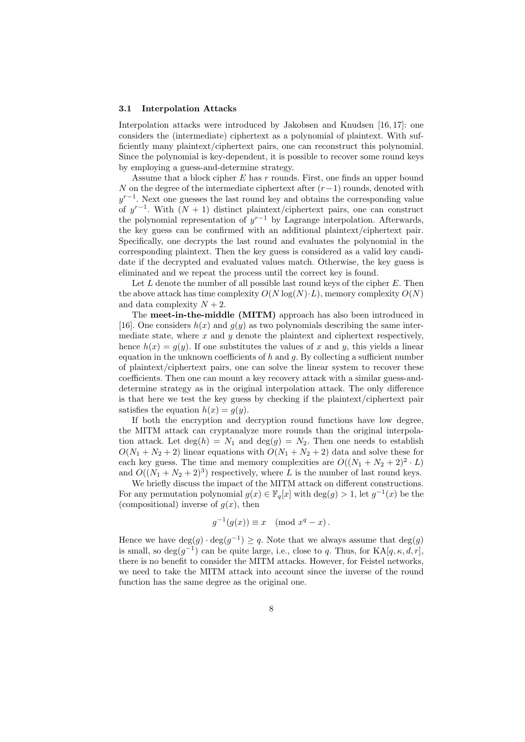#### 3.1 Interpolation Attacks

Interpolation attacks were introduced by Jakobsen and Knudsen [16, 17]: one considers the (intermediate) ciphertext as a polynomial of plaintext. With sufficiently many plaintext/ciphertext pairs, one can reconstruct this polynomial. Since the polynomial is key-dependent, it is possible to recover some round keys by employing a guess-and-determine strategy.

Assume that a block cipher  $E$  has  $r$  rounds. First, one finds an upper bound N on the degree of the intermediate ciphertext after  $(r-1)$  rounds, denoted with  $y^{r-1}$ . Next one guesses the last round key and obtains the corresponding value of  $y^{r-1}$ . With  $(N + 1)$  distinct plaintext/ciphertext pairs, one can construct the polynomial representation of  $y^{r-1}$  by Lagrange interpolation. Afterwards, the key guess can be confirmed with an additional plaintext/ciphertext pair. Specifically, one decrypts the last round and evaluates the polynomial in the corresponding plaintext. Then the key guess is considered as a valid key candidate if the decrypted and evaluated values match. Otherwise, the key guess is eliminated and we repeat the process until the correct key is found.

Let  $L$  denote the number of all possible last round keys of the cipher  $E$ . Then the above attack has time complexity  $O(N \log(N) \cdot L)$ , memory complexity  $O(N)$ and data complexity  $N + 2$ .

The meet-in-the-middle (MITM) approach has also been introduced in [16]. One considers  $h(x)$  and  $g(y)$  as two polynomials describing the same intermediate state, where  $x$  and  $y$  denote the plaintext and ciphertext respectively. hence  $h(x) = g(y)$ . If one substitutes the values of x and y, this yields a linear equation in the unknown coefficients of  $h$  and  $g$ . By collecting a sufficient number of plaintext/ciphertext pairs, one can solve the linear system to recover these coefficients. Then one can mount a key recovery attack with a similar guess-anddetermine strategy as in the original interpolation attack. The only difference is that here we test the key guess by checking if the plaintext/ciphertext pair satisfies the equation  $h(x) = g(y)$ .

If both the encryption and decryption round functions have low degree, the MITM attack can cryptanalyze more rounds than the original interpolation attack. Let  $deg(h) = N_1$  and  $deg(g) = N_2$ . Then one needs to establish  $O(N_1 + N_2 + 2)$  linear equations with  $O(N_1 + N_2 + 2)$  data and solve these for each key guess. The time and memory complexities are  $O((N_1 + N_2 + 2)^2 \cdot L)$ and  $O((N_1 + N_2 + 2)^3)$  respectively, where L is the number of last round keys.

We briefly discuss the impact of the MITM attack on different constructions. For any permutation polynomial  $g(x) \in \mathbb{F}_q[x]$  with  $\deg(g) > 1$ , let  $g^{-1}(x)$  be the (compositional) inverse of  $g(x)$ , then

$$
g^{-1}(g(x)) \equiv x \pmod{x^q - x}.
$$

Hence we have  $\deg(g) \cdot \deg(g^{-1}) \geq q$ . Note that we always assume that  $\deg(g)$ is small, so  $\deg(g^{-1})$  can be quite large, i.e., close to q. Thus, for  $KA[q, \kappa, d, r]$ , there is no benefit to consider the MITM attacks. However, for Feistel networks, we need to take the MITM attack into account since the inverse of the round function has the same degree as the original one.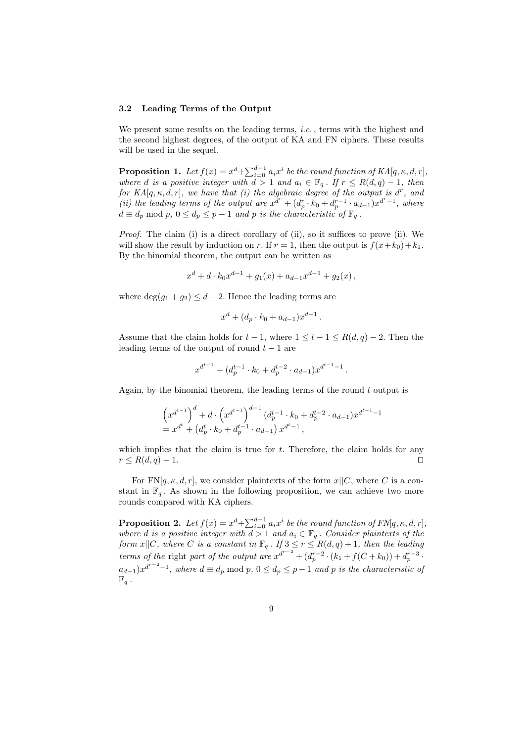#### 3.2 Leading Terms of the Output

We present some results on the leading terms, *i.e.*, terms with the highest and the second highest degrees, of the output of KA and FN ciphers. These results will be used in the sequel.

**Proposition 1.** Let  $f(x) = x^d + \sum_{i=0}^{d-1} a_i x^i$  be the round function of  $KA[q, \kappa, d, r]$ , where d is a positive integer with  $d > 1$  and  $a_i \in \mathbb{F}_q$ . If  $r \leq R(d,q) - 1$ , then for  $KA[q, \kappa, d, r]$ , we have that (i) the algebraic degree of the output is  $d^r$ , and (ii) the leading terms of the output are  $x^{d^r} + (d_p^r \cdot k_0 + d_p^{r-1} \cdot a_{d-1}) x^{d^r-1}$ , where  $d \equiv d_p \bmod p$ ,  $0 \leq d_p \leq p-1$  and p is the characteristic of  $\mathbb{F}_q$ .

Proof. The claim (i) is a direct corollary of (ii), so it suffices to prove (ii). We will show the result by induction on r. If  $r = 1$ , then the output is  $f(x+k_0)+k_1$ . By the binomial theorem, the output can be written as

$$
x^{d} + d \cdot k_0 x^{d-1} + g_1(x) + a_{d-1} x^{d-1} + g_2(x),
$$

where  $\deg(g_1 + g_2) \leq d - 2$ . Hence the leading terms are

$$
x^d + (d_p \cdot k_0 + a_{d-1}) x^{d-1}.
$$

Assume that the claim holds for  $t-1$ , where  $1 \leq t-1 \leq R(d,q)-2$ . Then the leading terms of the output of round  $t-1$  are

$$
x^{d^{t-1}} + (d_p^{t-1} \cdot k_0 + d_p^{t-2} \cdot a_{d-1}) x^{d^{t-1}-1}.
$$

Again, by the binomial theorem, the leading terms of the round  $t$  output is

$$
\left(x^{d^{t-1}}\right)^d + d \cdot \left(x^{d^{t-1}}\right)^{d-1} (d_p^{t-1} \cdot k_0 + d_p^{t-2} \cdot a_{d-1}) x^{d^{t-1}-1}
$$
  
=  $x^{d^t} + \left(d_p^t \cdot k_0 + d_p^{t-1} \cdot a_{d-1}\right) x^{d^t-1}$ ,

which implies that the claim is true for  $t$ . Therefore, the claim holds for any  $r \leq R(d, q) - 1.$ 

For FN $[q, \kappa, d, r]$ , we consider plaintexts of the form  $x||C$ , where C is a constant in  $\mathbb{F}_q$ . As shown in the following proposition, we can achieve two more rounds compared with KA ciphers.

**Proposition 2.** Let  $f(x) = x^d + \sum_{i=0}^{d-1} a_i x^i$  be the round function of  $FN[q, \kappa, d, r]$ , where d is a positive integer with  $d > 1$  and  $a_i \in \mathbb{F}_q$ . Consider plaintexts of the form  $x||C$ , where C is a constant in  $\mathbb{F}_q$ . If  $3 \leq r \leq R(d,q)+1$ , then the leading terms of the right part of the output are  $x^{d^{r-2}} + (d_p^{r-2} \cdot (k_1 + f(C + k_0)) + d_p^{r-3} \cdot$  $a_{d-1}x^{d^{r-2}-1}$ , where  $d \equiv d_p \bmod p$ ,  $0 \leq d_p \leq p-1$  and p is the characteristic of  $\mathbb{F}_q$ .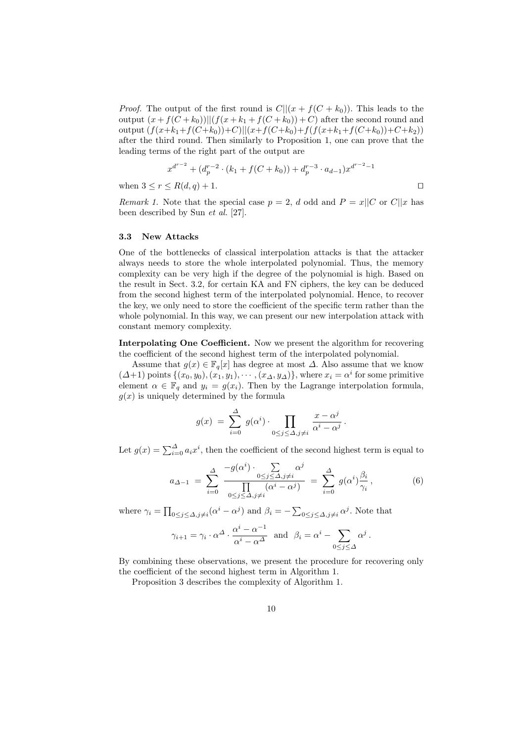*Proof.* The output of the first round is  $C||(x+f(C+k_0))$ . This leads to the output  $(x + f(C + k_0))||(f(x + k_1 + f(C + k_0)) + C)$  after the second round and output  $(f(x+k_1+f(C+k_0))+C)||(x+f(C+k_0)+f(f(x+k_1+f(C+k_0))+C+k_2))$ after the third round. Then similarly to Proposition 1, one can prove that the leading terms of the right part of the output are

$$
x^{d^{r-2}} + (d_p^{r-2} \cdot (k_1 + f(C + k_0)) + d_p^{r-3} \cdot a_{d-1}) x^{d^{r-2} - 1}
$$
  
when  $3 \le r \le R(d, q) + 1$ .

Remark 1. Note that the special case  $p = 2$ , d odd and  $P = x||C$  or  $C||x$  has been described by Sun et al. [27].

#### 3.3 New Attacks

One of the bottlenecks of classical interpolation attacks is that the attacker always needs to store the whole interpolated polynomial. Thus, the memory complexity can be very high if the degree of the polynomial is high. Based on the result in Sect. 3.2, for certain KA and FN ciphers, the key can be deduced from the second highest term of the interpolated polynomial. Hence, to recover the key, we only need to store the coefficient of the specific term rather than the whole polynomial. In this way, we can present our new interpolation attack with constant memory complexity.

Interpolating One Coefficient. Now we present the algorithm for recovering the coefficient of the second highest term of the interpolated polynomial.

Assume that  $g(x) \in \mathbb{F}_q[x]$  has degree at most  $\Delta$ . Also assume that we know  $(\Delta+1)$  points  $\{(x_0,y_0),(x_1,y_1),\cdots,(x_\Delta,y_\Delta)\}\)$ , where  $x_i=\alpha^i$  for some primitive element  $\alpha \in \mathbb{F}_q$  and  $y_i = g(x_i)$ . Then by the Lagrange interpolation formula,  $g(x)$  is uniquely determined by the formula

$$
g(x) = \sum_{i=0}^{\Delta} g(\alpha^i) \cdot \prod_{0 \le j \le \Delta, j \ne i} \frac{x - \alpha^j}{\alpha^i - \alpha^j}.
$$

Let  $g(x) = \sum_{i=0}^{\Delta} a_i x^i$ , then the coefficient of the second highest term is equal to

$$
a_{\Delta-1} = \sum_{i=0}^{\Delta} \frac{-g(\alpha^i) \cdot \sum_{0 \le j \le \Delta, j \ne i} \alpha^j}{\prod_{0 \le j \le \Delta, j \ne i} (\alpha^i - \alpha^j)} = \sum_{i=0}^{\Delta} g(\alpha^i) \frac{\beta_i}{\gamma_i}, \qquad (6)
$$

where  $\gamma_i = \prod_{0 \le j \le \Delta, j \ne i} (\alpha^i - \alpha^j)$  and  $\beta_i = -\sum_{0 \le j \le \Delta, j \ne i} \alpha^j$ . Note that

$$
\gamma_{i+1} = \gamma_i \cdot \alpha^{\Delta} \cdot \frac{\alpha^i - \alpha^{-1}}{\alpha^i - \alpha^{\Delta}}
$$
 and  $\beta_i = \alpha^i - \sum_{0 \le j \le \Delta} \alpha^j$ .

By combining these observations, we present the procedure for recovering only the coefficient of the second highest term in Algorithm 1.

Proposition 3 describes the complexity of Algorithm 1.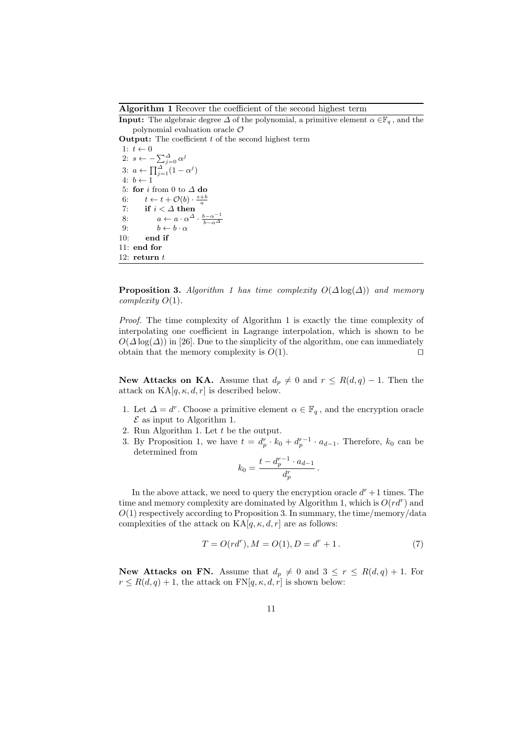Algorithm 1 Recover the coefficient of the second highest term

**Input:** The algebraic degree  $\Delta$  of the polynomial, a primitive element  $\alpha \in \mathbb{F}_q$ , and the polynomial evaluation oracle  $\mathcal O$ 

**Output:** The coefficient  $t$  of the second highest term

1:  $t \leftarrow 0$ 2:  $s \leftarrow -\sum_{j=0}^{A} \alpha^j$ 3:  $a \leftarrow \prod_{j=1}^{\Delta} (1 - \alpha^j)$ 4:  $b \leftarrow 1$ 5: for *i* from 0 to  $\Delta$  do 6:  $t \leftarrow t + \mathcal{O}(b) \cdot \frac{s+b}{a}$ 7: if  $i < \Delta$  then 8:  $a \leftarrow a \cdot \alpha^{\Delta} \cdot \frac{b - \alpha^{-1}}{b - \alpha^{\Delta}}$ 9:  $b \leftarrow b \cdot \alpha$ 10: end if 11: end for 12: return  $t$ 

**Proposition 3.** Algorithm 1 has time complexity  $O(\Delta \log(\Delta))$  and memory complexity  $O(1)$ .

Proof. The time complexity of Algorithm 1 is exactly the time complexity of interpolating one coefficient in Lagrange interpolation, which is shown to be  $O(\Delta \log(\Delta))$  in [26]. Due to the simplicity of the algorithm, one can immediately obtain that the memory complexity is  $O(1)$ .

**New Attacks on KA.** Assume that  $d_p \neq 0$  and  $r \leq R(d,q) - 1$ . Then the attack on  $KA[q, \kappa, d, r]$  is described below.

- 1. Let  $\Delta = d^r$ . Choose a primitive element  $\alpha \in \mathbb{F}_q$ , and the encryption oracle  $\mathcal E$  as input to Algorithm 1.
- 2. Run Algorithm 1. Let t be the output.
- 3. By Proposition 1, we have  $t = d_p^r \cdot k_0 + d_p^{r-1} \cdot a_{d-1}$ . Therefore,  $k_0$  can be determined from

$$
k_0 = \frac{t - d_p^{r-1} \cdot a_{d-1}}{d_p^r} \, .
$$

In the above attack, we need to query the encryption oracle  $d^r + 1$  times. The time and memory complexity are dominated by Algorithm 1, which is  $O(r d<sup>r</sup>)$  and  $O(1)$  respectively according to Proposition 3. In summary, the time/memory/data complexities of the attack on  $KA[q, \kappa, d, r]$  are as follows:

$$
T = O(r d^r), M = O(1), D = d^r + 1.
$$
\n(7)

New Attacks on FN. Assume that  $d_p \neq 0$  and  $3 \leq r \leq R(d,q) + 1$ . For  $r \leq R(d, q) + 1$ , the attack on  $FN[q, \kappa, d, r]$  is shown below: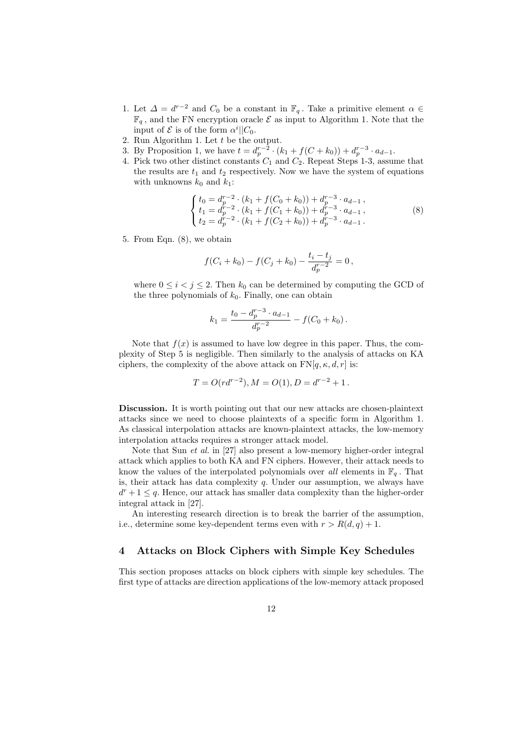- 1. Let  $\Delta = d^{r-2}$  and  $C_0$  be a constant in  $\mathbb{F}_q$ . Take a primitive element  $\alpha \in$  $\mathbb{F}_q$ , and the FN encryption oracle  $\mathcal E$  as input to Algorithm 1. Note that the input of  $\mathcal E$  is of the form  $\alpha^i||C_0$ .
- 2. Run Algorithm 1. Let  $t$  be the output.
- 3. By Proposition 1, we have  $t = d_p^{r-2} \cdot (k_1 + f(C + k_0)) + d_p^{r-3} \cdot a_{d-1}$ .
- 4. Pick two other distinct constants  $C_1$  and  $C_2$ . Repeat Steps 1-3, assume that the results are  $t_1$  and  $t_2$  respectively. Now we have the system of equations with unknowns  $k_0$  and  $k_1$ :

$$
\begin{cases}\nt_0 = d_p^{r-2} \cdot (k_1 + f(C_0 + k_0)) + d_p^{r-3} \cdot a_{d-1}, \nt_1 = d_p^{r-2} \cdot (k_1 + f(C_1 + k_0)) + d_p^{r-3} \cdot a_{d-1}, \nt_2 = d_p^{r-2} \cdot (k_1 + f(C_2 + k_0)) + d_p^{r-3} \cdot a_{d-1}.\n\end{cases}
$$
\n(8)

5. From Eqn. (8), we obtain

$$
f(C_i + k_0) - f(C_j + k_0) - \frac{t_i - t_j}{d_p^{r-2}} = 0,
$$

where  $0 \le i \le j \le 2$ . Then  $k_0$  can be determined by computing the GCD of the three polynomials of  $k_0$ . Finally, one can obtain

$$
k_1 = \frac{t_0 - d_p^{r-3} \cdot a_{d-1}}{d_p^{r-2}} - f(C_0 + k_0).
$$

Note that  $f(x)$  is assumed to have low degree in this paper. Thus, the complexity of Step 5 is negligible. Then similarly to the analysis of attacks on KA ciphers, the complexity of the above attack on  $\text{FN}[q, \kappa, d, r]$  is:

$$
T = O(r d^{r-2}), M = O(1), D = d^{r-2} + 1.
$$

Discussion. It is worth pointing out that our new attacks are chosen-plaintext attacks since we need to choose plaintexts of a specific form in Algorithm 1. As classical interpolation attacks are known-plaintext attacks, the low-memory interpolation attacks requires a stronger attack model.

Note that Sun et al. in [27] also present a low-memory higher-order integral attack which applies to both KA and FN ciphers. However, their attack needs to know the values of the interpolated polynomials over all elements in  $\mathbb{F}_q$ . That is, their attack has data complexity  $q$ . Under our assumption, we always have  $d^r + 1 \leq q$ . Hence, our attack has smaller data complexity than the higher-order integral attack in [27].

An interesting research direction is to break the barrier of the assumption, i.e., determine some key-dependent terms even with  $r > R(d, q) + 1$ .

# 4 Attacks on Block Ciphers with Simple Key Schedules

This section proposes attacks on block ciphers with simple key schedules. The first type of attacks are direction applications of the low-memory attack proposed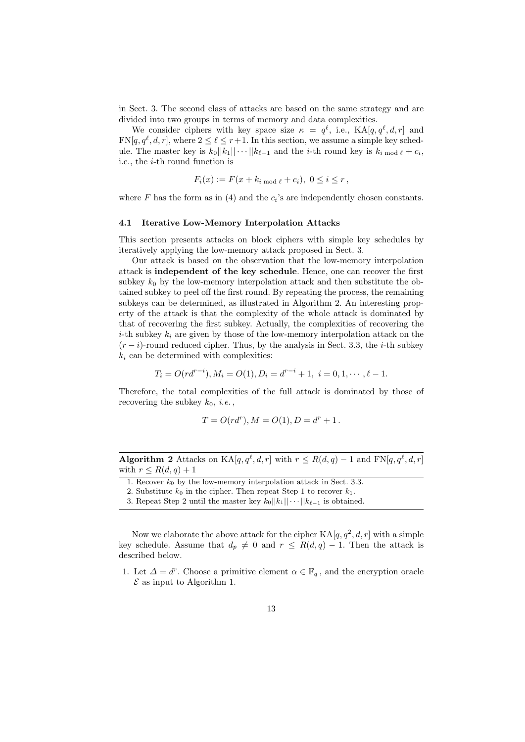in Sect. 3. The second class of attacks are based on the same strategy and are divided into two groups in terms of memory and data complexities.

We consider ciphers with key space size  $\kappa = q^{\ell}$ , i.e.,  $KA[q, q^{\ell}, d, r]$  and  $\text{FN}[q, q^{\ell}, d, r]$ , where  $2 \leq \ell \leq r+1$ . In this section, we assume a simple key schedule. The master key is  $k_0||k_1|| \cdots ||k_{\ell-1}$  and the *i*-th round key is  $k_{i \text{ mod } \ell} + c_i$ , i.e., the i-th round function is

$$
F_i(x) := F(x + k_{i \bmod \ell} + c_i), \ 0 \le i \le r,
$$

where  $F$  has the form as in (4) and the  $c_i$ 's are independently chosen constants.

#### 4.1 Iterative Low-Memory Interpolation Attacks

This section presents attacks on block ciphers with simple key schedules by iteratively applying the low-memory attack proposed in Sect. 3.

Our attack is based on the observation that the low-memory interpolation attack is independent of the key schedule. Hence, one can recover the first subkey  $k_0$  by the low-memory interpolation attack and then substitute the obtained subkey to peel off the first round. By repeating the process, the remaining subkeys can be determined, as illustrated in Algorithm 2. An interesting property of the attack is that the complexity of the whole attack is dominated by that of recovering the first subkey. Actually, the complexities of recovering the i-th subkey  $k_i$  are given by those of the low-memory interpolation attack on the  $(r - i)$ -round reduced cipher. Thus, by the analysis in Sect. 3.3, the *i*-th subkey  $k_i$  can be determined with complexities:

$$
T_i = O(r d^{r-i}), M_i = O(1), D_i = d^{r-i} + 1, i = 0, 1, \cdots, \ell - 1.
$$

Therefore, the total complexities of the full attack is dominated by those of recovering the subkey  $k_0$ , *i.e.*,

$$
T = O(r d^r), M = O(1), D = d^r + 1.
$$

Algorithm 2 Attacks on  $\text{KA}[q, q^{\ell}, d, r]$  with  $r \leq R(d, q) - 1$  and  $\text{FN}[q, q^{\ell}, d, r]$ with  $r \leq R(d,q)+1$ 

Now we elaborate the above attack for the cipher  $KA[q, q^2, d, r]$  with a simple key schedule. Assume that  $d_p \neq 0$  and  $r \leq R(d,q) - 1$ . Then the attack is described below.

1. Let  $\Delta = d^r$ . Choose a primitive element  $\alpha \in \mathbb{F}_q$ , and the encryption oracle  $\mathcal E$  as input to Algorithm 1.

<sup>1.</sup> Recover  $k_0$  by the low-memory interpolation attack in Sect. 3.3.

<sup>2.</sup> Substitute  $k_0$  in the cipher. Then repeat Step 1 to recover  $k_1$ .

<sup>3.</sup> Repeat Step 2 until the master key  $k_0||k_1|| \cdots ||k_{\ell-1}$  is obtained.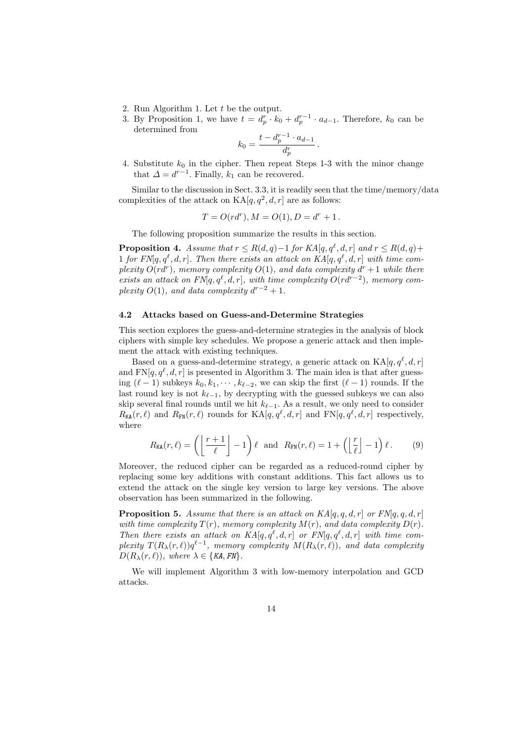- 2. Run Algorithm 1. Let t be the output.
- 3. By Proposition 1, we have  $t = d_p^r \cdot k_0 + d_p^{r-1} \cdot a_{d-1}$ . Therefore,  $k_0$  can be determined from

$$
k_0 = \frac{t - d_p^{r-1} \cdot a_{d-1}}{d_p^r} \, .
$$

4. Substitute  $k_0$  in the cipher. Then repeat Steps 1-3 with the minor change that  $\Delta = d^{r-1}$ . Finally,  $k_1$  can be recovered.

Similar to the discussion in Sect. 3.3, it is readily seen that the time/memory/data complexities of the attack on  $KA[q, q^2, d, r]$  are as follows:

$$
T = O(r d^r), M = O(1), D = d^r + 1.
$$

The following proposition summarize the results in this section.

**Proposition 4.** Assume that  $r \leq R(d,q)-1$  for  $KA[q, q^{\ell}, d, r]$  and  $r \leq R(d,q)+1$ 1 for  $FN[q, q^{\ell}, d, r]$ . Then there exists an attack on  $KA[q, q^{\ell}, d, r]$  with time complexity  $O(r d<sup>r</sup>)$ , memory complexity  $O(1)$ , and data complexity  $d<sup>r</sup> + 1$  while there exists an attack on  $FN[q, q^{\ell}, d, r]$ , with time complexity  $O(r d^{r-2})$ , memory complexity  $O(1)$ , and data complexity  $d^{r-2} + 1$ .

#### 4.2 Attacks based on Guess-and-Determine Strategies

This section explores the guess-and-determine strategies in the analysis of block ciphers with simple key schedules. We propose a generic attack and then implement the attack with existing techniques.

Based on a guess-and-determine strategy, a generic attack on  $KA[q, q^{\ell}, d, r]$ and  $FN[q, q^{\ell}, d, r]$  is presented in Algorithm 3. The main idea is that after guessing  $(\ell - 1)$  subkeys  $k_0, k_1, \cdots, k_{\ell-2}$ , we can skip the first  $(\ell - 1)$  rounds. If the last round key is not  $k_{\ell-1}$ , by decrypting with the guessed subkeys we can also skip several final rounds until we hit  $k_{\ell-1}$ . As a result, we only need to consider  $R_{\text{KA}}(r,\ell)$  and  $R_{\text{FN}}(r,\ell)$  rounds for  $\text{KA}[q,q^{\ell},d,r]$  and  $\text{FN}[q,q^{\ell},d,r]$  respectively, where

$$
R_{\text{KA}}(r,\ell) = \left( \left\lfloor \frac{r+1}{\ell} \right\rfloor - 1 \right) \ell \text{ and } R_{\text{FN}}(r,\ell) = 1 + \left( \left\lfloor \frac{r}{\ell} \right\rfloor - 1 \right) \ell. \tag{9}
$$

Moreover, the reduced cipher can be regarded as a reduced-round cipher by replacing some key additions with constant additions. This fact allows us to extend the attack on the single key version to large key versions. The above observation has been summarized in the following.

**Proposition 5.** Assume that there is an attack on  $KA[q, q, d, r]$  or  $FN[q, q, d, r]$ with time complexity  $T(r)$ , memory complexity  $M(r)$ , and data complexity  $D(r)$ . Then there exists an attack on  $KA[q, q^{\ell}, d, r]$  or  $FN[q, q^{\ell}, d, r]$  with time complexity  $T(R_\lambda(r,\ell))q^{\ell-1}$ , memory complexity  $M(R_\lambda(r,\ell))$ , and data complexity  $D(R_\lambda(r, \ell)),$  where  $\lambda \in \{ \text{KA}, \text{FN} \}.$ 

We will implement Algorithm 3 with low-memory interpolation and GCD attacks.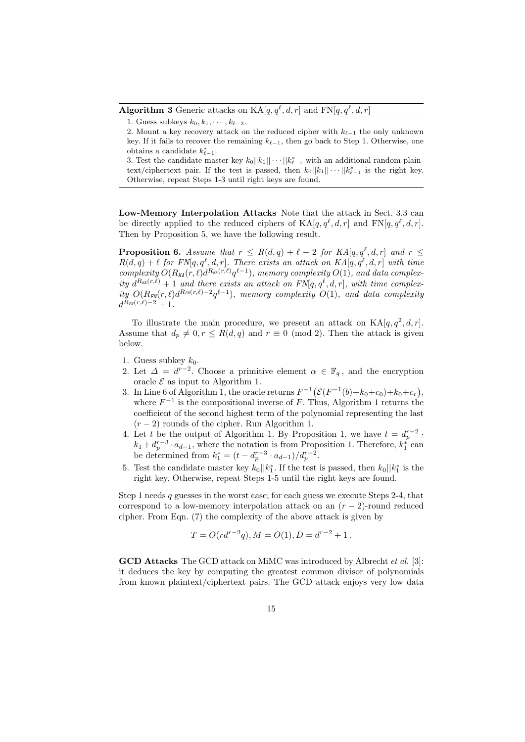**Algorithm 3** Generic attacks on  $KA[q, q^{\ell}, d, r]$  and  $FN[q, q^{\ell}, d, r]$ 

3. Test the candidate master key  $k_0||k_1|| \cdots ||k_{\ell-1}^*$  with an additional random plaintext/ciphertext pair. If the test is passed, then  $k_0||k_1|| \cdots ||k_{\ell-1}^*$  is the right key. Otherwise, repeat Steps 1-3 until right keys are found.

Low-Memory Interpolation Attacks Note that the attack in Sect. 3.3 can be directly applied to the reduced ciphers of  $KA[q, q^{\ell}, d, r]$  and  $FN[q, q^{\ell}, d, r]$ . Then by Proposition 5, we have the following result.

**Proposition 6.** Assume that  $r \leq R(d,q) + \ell - 2$  for  $KA[q, q^{\ell}, d, r]$  and  $r \leq$  $R(d,q) + \ell$  for FN[q,  $q^{\ell}, d, r$ ]. There exists an attack on  $KA[q, q^{\ell}, d, r]$  with time complexity  $O(R_{\text{KA}}(r,\ell)d^{R_{\text{KA}}(r,\ell)}q^{\ell-1})$ , memory complexity  $O(1)$ , and data complexity  $d^{R_{\text{KA}}(r,\ell)} + 1$  and there exists an attack on  $FN[q, q^{\ell}, d, r]$ , with time complexity  $O(R_{\text{FM}}(r,\ell)d^{R_{\text{FM}}(r,\ell)-2}q^{\ell-1}),$  memory complexity  $O(1)$ , and data complexity  $d^{R_{\text{FN}}(r,\ell)-2}+1.$ 

To illustrate the main procedure, we present an attack on  $KA[q, q^2, d, r]$ . Assume that  $d_p \neq 0, r \leq R(d, q)$  and  $r \equiv 0 \pmod{2}$ . Then the attack is given below.

- 1. Guess subkey  $k_0$ .
- 2. Let  $\Delta = d^{r-2}$ . Choose a primitive element  $\alpha \in \mathbb{F}_q$ , and the encryption oracle  $\mathcal E$  as input to Algorithm 1.
- 3. In Line 6 of Algorithm 1, the oracle returns  $F^{-1}(\mathcal{E}(F^{-1}(b)+k_0+c_0)+k_0+c_r)$ , where  $F^{-1}$  is the compositional inverse of F. Thus, Algorithm 1 returns the coefficient of the second highest term of the polynomial representing the last  $(r-2)$  rounds of the cipher. Run Algorithm 1.
- 4. Let t be the output of Algorithm 1. By Proposition 1, we have  $t = d_p^{r-2}$ .  $k_1 + d_p^{r-3} \cdot a_{d-1}$ , where the notation is from Proposition 1. Therefore,  $k_1^*$  can be determined from  $k_1^* = (t - d_p^{r-3} \cdot a_{d-1})/d_p^{r-2}$ .
- 5. Test the candidate master key  $k_0||k_1^*$ . If the test is passed, then  $k_0||k_1^*$  is the right key. Otherwise, repeat Steps 1-5 until the right keys are found.

Step 1 needs  $q$  guesses in the worst case; for each guess we execute Steps 2-4, that correspond to a low-memory interpolation attack on an  $(r-2)$ -round reduced cipher. From Eqn. (7) the complexity of the above attack is given by

$$
T = O(r d^{r-2} q), M = O(1), D = d^{r-2} + 1.
$$

GCD Attacks The GCD attack on MiMC was introduced by Albrecht et al. [3]: it deduces the key by computing the greatest common divisor of polynomials from known plaintext/ciphertext pairs. The GCD attack enjoys very low data

<sup>1.</sup> Guess subkeys  $k_0, k_1, \cdots, k_{\ell-2}$ .

<sup>2.</sup> Mount a key recovery attack on the reduced cipher with  $k_{\ell-1}$  the only unknown key. If it fails to recover the remaining  $k_{\ell-1}$ , then go back to Step 1. Otherwise, one obtains a candidate  $k_{\ell-1}^*$ .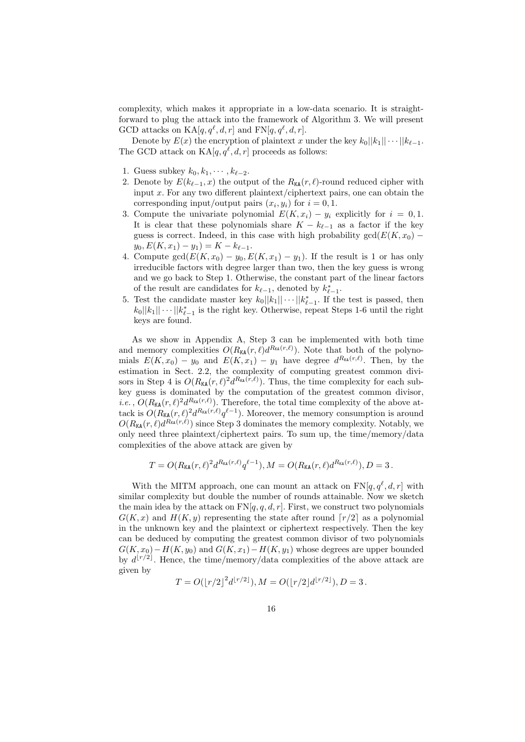complexity, which makes it appropriate in a low-data scenario. It is straightforward to plug the attack into the framework of Algorithm 3. We will present GCD attacks on  $\text{KA}[q, q^{\ell}, d, r]$  and  $\text{FN}[q, q^{\ell}, d, r]$ .

Denote by  $E(x)$  the encryption of plaintext x under the key  $k_0||k_1|| \cdots ||k_{\ell-1}$ . The GCD attack on  $KA[q, q^{\ell}, d, r]$  proceeds as follows:

- 1. Guess subkey  $k_0, k_1, \cdots, k_{\ell-2}$ .
- 2. Denote by  $E(k_{\ell-1}, x)$  the output of the  $R_{\text{KA}}(r, \ell)$ -round reduced cipher with input  $x$ . For any two different plaintext/ciphertext pairs, one can obtain the corresponding input/output pairs  $(x_i, y_i)$  for  $i = 0, 1$ .
- 3. Compute the univariate polynomial  $E(K, x_i) y_i$  explicitly for  $i = 0, 1$ . It is clear that these polynomials share  $K - k_{\ell-1}$  as a factor if the key guess is correct. Indeed, in this case with high probability  $gcd(E(K, x_0)$  $y_0, E(K, x_1) - y_1) = K - k_{\ell-1}.$
- 4. Compute  $gcd(E(K, x_0) y_0, E(K, x_1) y_1)$ . If the result is 1 or has only irreducible factors with degree larger than two, then the key guess is wrong and we go back to Step 1. Otherwise, the constant part of the linear factors of the result are candidates for  $k_{\ell-1}$ , denoted by  $k_{\ell-1}^*$ .
- 5. Test the candidate master key  $k_0||k_1|| \cdots ||k_{\ell-1}^*$ . If the test is passed, then  $\|k_0\| |k_1|| \cdots \| k_{\ell-1}^*$  is the right key. Otherwise, repeat Steps 1-6 until the right keys are found.

As we show in Appendix A, Step 3 can be implemented with both time and memory complexities  $O(R_{\text{KA}}(r,\ell) d^{R_{\text{KA}}(r,\ell)})$ . Note that both of the polynomials  $E(K, x_0) - y_0$  and  $E(K, x_1) - y_1$  have degree  $d^{R_{\text{KA}}(r,\ell)}$ . Then, by the estimation in Sect. 2.2, the complexity of computing greatest common divisors in Step 4 is  $O(R_{\text{KA}}(r,\ell)^2 d^{R_{\text{KA}}(r,\ell)})$ . Thus, the time complexity for each subkey guess is dominated by the computation of the greatest common divisor, *i.e.*,  $O(R_{\text{KA}}(r,\ell)^2 d^{R_{\text{KA}}(r,\ell)})$ . Therefore, the total time complexity of the above attack is  $O(R_{\text{KA}}(r,\ell)^2 d^{R_{\text{KA}}(r,\ell)} q^{\ell-1})$ . Moreover, the memory consumption is around  $O(R_{\text{KA}}(r,\ell)d^{R_{\text{KA}}(r,\ell)})$  since Step 3 dominates the memory complexity. Notably, we only need three plaintext/ciphertext pairs. To sum up, the time/memory/data complexities of the above attack are given by

$$
T = O(R_{\text{KA}}(r,\ell)^2 d^{R_{\text{KA}}(r,\ell)} q^{\ell-1}), M = O(R_{\text{KA}}(r,\ell) d^{R_{\text{KA}}(r,\ell)}), D = 3.
$$

With the MITM approach, one can mount an attack on  $FN[q, q^{\ell}, d, r]$  with similar complexity but double the number of rounds attainable. Now we sketch the main idea by the attack on  $FN[q, q, d, r]$ . First, we construct two polynomials  $G(K, x)$  and  $H(K, y)$  representing the state after round  $\lceil r/2 \rceil$  as a polynomial in the unknown key and the plaintext or ciphertext respectively. Then the key can be deduced by computing the greatest common divisor of two polynomials  $G(K, x_0) - H(K, y_0)$  and  $G(K, x_1) - H(K, y_1)$  whose degrees are upper bounded by  $d^{[r/2]}$ . Hence, the time/memory/data complexities of the above attack are given by

$$
T = O(|r/2|^2 d^{|r/2|}), M = O(|r/2| d^{|r/2|}), D = 3.
$$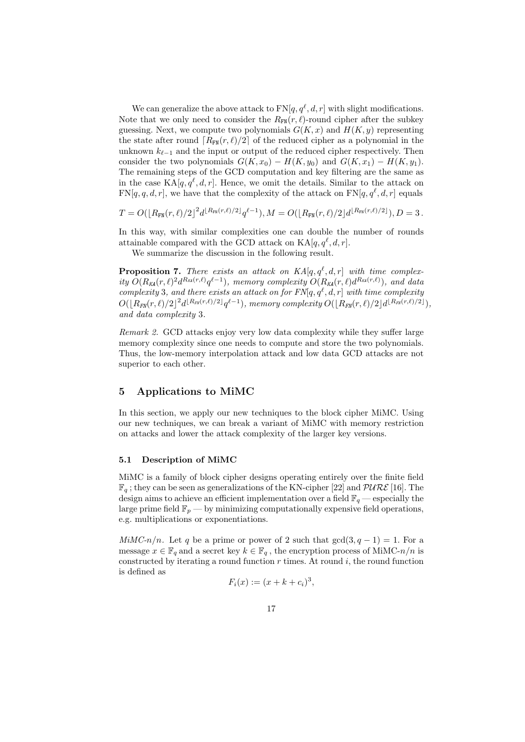We can generalize the above attack to  $FN[q, q^{\ell}, d, r]$  with slight modifications. Note that we only need to consider the  $R_{FN}(r, \ell)$ -round cipher after the subkey guessing. Next, we compute two polynomials  $G(K, x)$  and  $H(K, y)$  representing the state after round  $[R_{\text{FN}}(r, \ell)/2]$  of the reduced cipher as a polynomial in the unknown  $k_{\ell-1}$  and the input or output of the reduced cipher respectively. Then consider the two polynomials  $G(K, x_0) - H(K, y_0)$  and  $G(K, x_1) - H(K, y_1)$ . The remaining steps of the GCD computation and key filtering are the same as in the case  $KA[q, q^{\ell}, d, r]$ . Hence, we omit the details. Similar to the attack on  $\text{FN}[q, q, d, r]$ , we have that the complexity of the attack on  $\text{FN}[q, q^{\ell}, d, r]$  equals

$$
T=O(\lfloor R_{\text{FN}}(r,\ell)/2\rfloor^2d^{\lfloor R_{\text{FN}}(r,\ell)/2\rfloor}q^{\ell-1}), M=O(\lfloor R_{\text{FN}}(r,\ell)/2\rfloor d^{\lfloor R_{\text{FN}}(r,\ell)/2\rfloor}), D=3\,.
$$

In this way, with similar complexities one can double the number of rounds attainable compared with the GCD attack on  $KA[q, q^{\ell}, d, r]$ .

We summarize the discussion in the following result.

**Proposition 7.** There exists an attack on  $KA[q, q^{\ell}, d, r]$  with time complexity  $O(R_{\text{KA}}(r,\ell)^2 d^{R_{\text{KA}}(r,\ell)}q^{\ell-1}),$  memory complexity  $O(R_{\text{KA}}(r,\ell) d^{R_{\text{KA}}(r,\ell)}),$  and data complexity 3, and there exists an attack on for  $FN[q, q^{\ell}, d, r]$  with time complexity  $O(\lfloor R_{\text{\tiny{FW}}} (r,\ell)/2 \rfloor^2 d^{\lfloor R_{\text{\tiny{FW}}} (r,\ell)/2 \rfloor} q^{\ell-1}), \, \textit{memory complexity} \, O(\lfloor R_{\text{\tiny{FW}}} (r,\ell)/2 \rfloor d^{\lfloor R_{\text{\tiny{FW}}} (r,\ell)/2 \rfloor}),$ and data complexity 3.

Remark 2. GCD attacks enjoy very low data complexity while they suffer large memory complexity since one needs to compute and store the two polynomials. Thus, the low-memory interpolation attack and low data GCD attacks are not superior to each other.

# 5 Applications to MiMC

In this section, we apply our new techniques to the block cipher MiMC. Using our new techniques, we can break a variant of MiMC with memory restriction on attacks and lower the attack complexity of the larger key versions.

#### 5.1 Description of MiMC

MiMC is a family of block cipher designs operating entirely over the finite field  $\mathbb{F}_q$ ; they can be seen as generalizations of the KN-cipher [22] and  $\mathcal{PURE}$  [16]. The design aims to achieve an efficient implementation over a field  $\mathbb{F}_q$  — especially the large prime field  $\mathbb{F}_p$  — by minimizing computationally expensive field operations, e.g. multiplications or exponentiations.

MiMC-n/n. Let q be a prime or power of 2 such that  $gcd(3, q - 1) = 1$ . For a message  $x \in \mathbb{F}_q$  and a secret key  $k \in \mathbb{F}_q$ , the encryption process of MiMC- $n/n$  is constructed by iterating a round function  $r$  times. At round  $i$ , the round function is defined as

$$
F_i(x) := (x + k + c_i)^3,
$$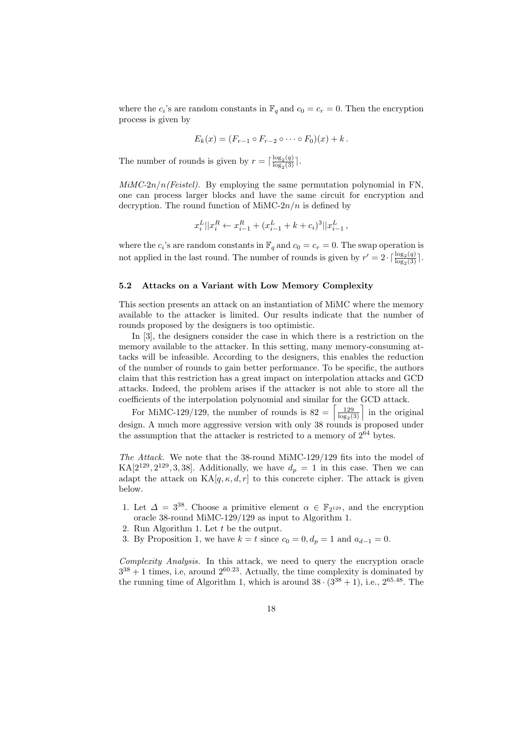where the  $c_i$ 's are random constants in  $\mathbb{F}_q$  and  $c_0 = c_r = 0$ . Then the encryption process is given by

$$
E_k(x) = (F_{r-1} \circ F_{r-2} \circ \cdots \circ F_0)(x) + k.
$$

The number of rounds is given by  $r = \left[\frac{\log_2(q)}{\log_2(3)}\right]$  $\frac{\log_2(q)}{\log_2(3)}\Big]$ .

 $MinC-2n/n(Feistel)$ . By employing the same permutation polynomial in FN, one can process larger blocks and have the same circuit for encryption and decryption. The round function of MiMC- $2n/n$  is defined by

$$
x_i^L || x_i^R \leftarrow x_{i-1}^R + (x_{i-1}^L + k + c_i)^3 || x_{i-1}^L,
$$

where the  $c_i$ 's are random constants in  $\mathbb{F}_q$  and  $c_0 = c_r = 0$ . The swap operation is not applied in the last round. The number of rounds is given by  $r' = 2 \cdot \left[\frac{\log_2(q)}{\log_2(3)}\right]$  $\frac{\log_2(q)}{\log_2(3)}$ .

# 5.2 Attacks on a Variant with Low Memory Complexity

This section presents an attack on an instantiation of MiMC where the memory available to the attacker is limited. Our results indicate that the number of rounds proposed by the designers is too optimistic.

In [3], the designers consider the case in which there is a restriction on the memory available to the attacker. In this setting, many memory-consuming attacks will be infeasible. According to the designers, this enables the reduction of the number of rounds to gain better performance. To be specific, the authors claim that this restriction has a great impact on interpolation attacks and GCD attacks. Indeed, the problem arises if the attacker is not able to store all the coefficients of the interpolation polynomial and similar for the GCD attack.

For MiMC-129/129, the number of rounds is  $82 = \left\lceil \frac{129}{\log_2(3)} \right\rceil$  in the original design. A much more aggressive version with only 38 rounds is proposed under the assumption that the attacker is restricted to a memory of  $2^{64}$  bytes.

The Attack. We note that the 38-round MiMC-129/129 fits into the model of KA[ $2^{129}$ ,  $2^{129}$ , 3, 38]. Additionally, we have  $d_p = 1$  in this case. Then we can adapt the attack on  $KA[q, \kappa, d, r]$  to this concrete cipher. The attack is given below.

- 1. Let  $\Delta = 3^{38}$ . Choose a primitive element  $\alpha \in \mathbb{F}_{2^{129}}$ , and the encryption oracle 38-round MiMC-129/129 as input to Algorithm 1.
- 2. Run Algorithm 1. Let t be the output.
- 3. By Proposition 1, we have  $k = t$  since  $c_0 = 0, d_n = 1$  and  $a_{d-1} = 0$ .

Complexity Analysis. In this attack, we need to query the encryption oracle  $3^{38} + 1$  times, i.e, around  $2^{60.23}$ . Actually, the time complexity is dominated by the running time of Algorithm 1, which is around  $38 \cdot (3^{38} + 1)$ , i.e.,  $2^{65.48}$ . The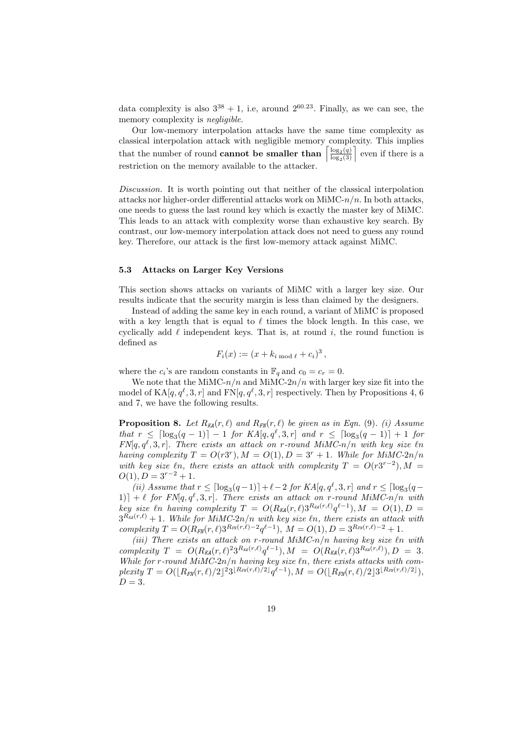data complexity is also  $3^{38} + 1$ , i.e, around  $2^{60.23}$ . Finally, as we can see, the memory complexity is *negligible*.

Our low-memory interpolation attacks have the same time complexity as classical interpolation attack with negligible memory complexity. This implies that the number of round **cannot** be smaller than  $\left[\frac{\log_2(q)}{\log(2)}\right]$  $\left[\frac{\log_2(q)}{\log_2(3)}\right]$  even if there is a restriction on the memory available to the attacker.

Discussion. It is worth pointing out that neither of the classical interpolation attacks nor higher-order differential attacks work on  $\text{MMC-}n/n$ . In both attacks, one needs to guess the last round key which is exactly the master key of MiMC. This leads to an attack with complexity worse than exhaustive key search. By contrast, our low-memory interpolation attack does not need to guess any round key. Therefore, our attack is the first low-memory attack against MiMC.

#### 5.3 Attacks on Larger Key Versions

This section shows attacks on variants of MiMC with a larger key size. Our results indicate that the security margin is less than claimed by the designers.

Instead of adding the same key in each round, a variant of MiMC is proposed with a key length that is equal to  $\ell$  times the block length. In this case, we cyclically add  $\ell$  independent keys. That is, at round i, the round function is defined as

$$
F_i(x) := (x + k_{i \bmod \ell} + c_i)^3,
$$

where the  $c_i$ 's are random constants in  $\mathbb{F}_q$  and  $c_0 = c_r = 0$ .

We note that the MiMC- $n/n$  and MiMC- $2n/n$  with larger key size fit into the model of  $\text{KA}[q, q^{\ell}, 3, r]$  and  $\text{FN}[q, q^{\ell}, 3, r]$  respectively. Then by Propositions 4, 6 and 7, we have the following results.

**Proposition 8.** Let  $R_{\text{KA}}(r, \ell)$  and  $R_{\text{FM}}(r, \ell)$  be given as in Eqn. (9). (i) Assume that  $r \leq \lceil \log_3(q-1) \rceil - 1$  for  $KA[q, q^{\ell}, 3, r]$  and  $r \leq \lceil \log_3(q-1) \rceil + 1$  for  $FN[q, q^{\ell}, 3, r]$ . There exists an attack on r-round MiMC-n/n with key size  $\ell n$ having complexity  $T = O(r3^r)$ ,  $M = O(1)$ ,  $D = 3^r + 1$ . While for MiMC-2n/n with key size  $\ell n$ , there exists an attack with complexity  $T = O(r3^{r-2})$ ,  $M =$  $O(1), D = 3^{r-2} + 1.$ 

(ii) Assume that  $r \leq \lceil \log_3(q-1) \rceil + \ell - 2$  for  $\text{KA}[q, q^{\ell}, 3, r]$  and  $r \leq \lceil \log_3(q-1) \rceil$ 1) +  $\ell$  for FN[q,  $q^{\ell}$ , 3, r]. There exists an attack on r-round MiMC-n/n with key size  $\ln$  having complexity  $T = O(R_{\text{KA}}(r,\ell)3^{R_{\text{KA}}(r,\ell)}q^{\ell-1}), M = O(1), D =$  $3^{R_{\textit{Kd}}(r,\ell)} + 1$ . While for MiMC-2n/n with key size  $\ell$ n, there exists an attack with complexity  $T = O(R_{\text{FN}}(r,\ell)3^{R_{\text{FN}}(r,\ell)-2}q^{\ell-1}), M = O(1), D = 3^{R_{\text{FN}}(r,\ell)-2} + 1.$ 

(iii) There exists an attack on  $r$ -round MiMC- $n/n$  having key size  $\ell n$  with complexity  $T = O(R_{\text{KA}}(r,\ell)^2 3^{R_{\text{KA}}(r,\ell)} q^{\ell-1}), M = O(R_{\text{KA}}(r,\ell) 3^{R_{\text{KA}}(r,\ell)}), D = 3.$ While for r-round MiMC-2n/n having key size  $\ln$ , there exists attacks with com $plexity T = O(\lfloor R_{\text{FM}}(r,\ell)/2 \rfloor^2 3^{\lfloor R_{\text{FM}}(r,\ell)/2 \rfloor} q^{\ell-1}), M = O(\lfloor R_{\text{FM}}(r,\ell)/2 \rfloor 3^{\lfloor R_{\text{FM}}(r,\ell)/2 \rfloor}),$  $D=3.$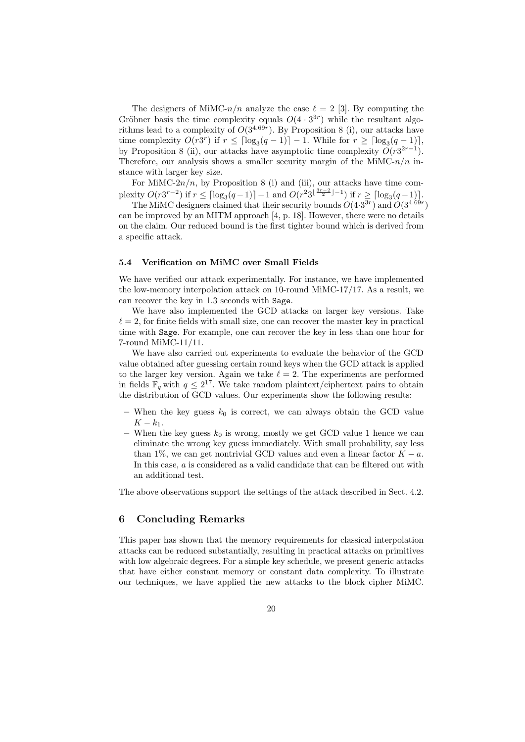The designers of MiMC- $n/n$  analyze the case  $\ell = 2$  [3]. By computing the Gröbner basis the time complexity equals  $O(4 \cdot 3^{3r})$  while the resultant algorithms lead to a complexity of  $O(3^{4.69r})$ . By Proposition 8 (i), our attacks have time complexity  $O(r3^r)$  if  $r \leq \lceil \log_3(q-1) \rceil - 1$ . While for  $r \geq \lceil \log_3(q-1) \rceil$ , by Proposition 8 (ii), our attacks have asymptotic time complexity  $O(r3^{2r-1})$ . Therefore, our analysis shows a smaller security margin of the MiMC- $n/n$  instance with larger key size.

For MiMC- $2n/n$ , by Proposition 8 (i) and (iii), our attacks have time complexity  $O(r3^{r-2})$  if  $r \leq \lceil \log_3(q-1) \rceil - 1$  and  $O(r^23^{\lfloor \frac{3r-2}{2} \rfloor - 1})$  if  $r \geq \lceil \log_3(q-1) \rceil$ .

The MiMC designers claimed that their security bounds  $O(4 \cdot 3^{3r})$  and  $O(3^{4.69r})$ can be improved by an MITM approach [4, p. 18]. However, there were no details on the claim. Our reduced bound is the first tighter bound which is derived from a specific attack.

#### 5.4 Verification on MiMC over Small Fields

We have verified our attack experimentally. For instance, we have implemented the low-memory interpolation attack on 10-round MiMC-17/17. As a result, we can recover the key in 1.3 seconds with Sage.

We have also implemented the GCD attacks on larger key versions. Take  $\ell = 2$ , for finite fields with small size, one can recover the master key in practical time with Sage. For example, one can recover the key in less than one hour for 7-round MiMC-11/11.

We have also carried out experiments to evaluate the behavior of the GCD value obtained after guessing certain round keys when the GCD attack is applied to the larger key version. Again we take  $\ell = 2$ . The experiments are performed in fields  $\mathbb{F}_q$  with  $q \leq 2^{17}$ . We take random plaintext/ciphertext pairs to obtain the distribution of GCD values. Our experiments show the following results:

- When the key guess  $k_0$  is correct, we can always obtain the GCD value  $K - k_1$ .
- When the key guess  $k_0$  is wrong, mostly we get GCD value 1 hence we can eliminate the wrong key guess immediately. With small probability, say less than 1%, we can get nontrivial GCD values and even a linear factor  $K - a$ . In this case, a is considered as a valid candidate that can be filtered out with an additional test.

The above observations support the settings of the attack described in Sect. 4.2.

### 6 Concluding Remarks

This paper has shown that the memory requirements for classical interpolation attacks can be reduced substantially, resulting in practical attacks on primitives with low algebraic degrees. For a simple key schedule, we present generic attacks that have either constant memory or constant data complexity. To illustrate our techniques, we have applied the new attacks to the block cipher MiMC.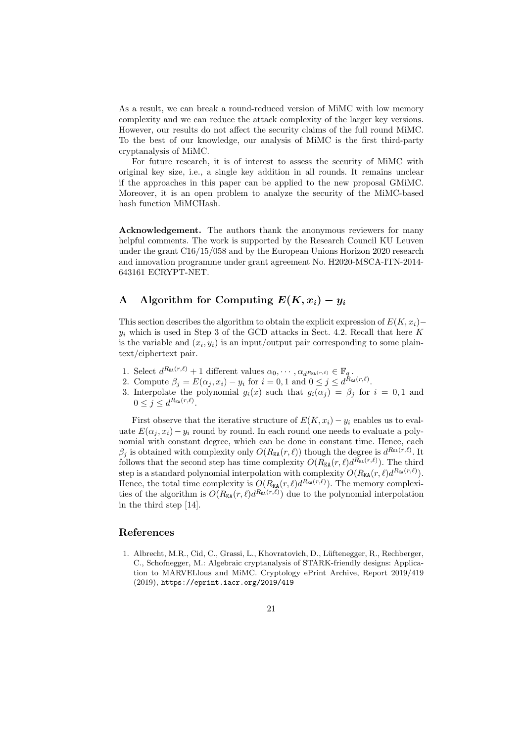As a result, we can break a round-reduced version of MiMC with low memory complexity and we can reduce the attack complexity of the larger key versions. However, our results do not affect the security claims of the full round MiMC. To the best of our knowledge, our analysis of MiMC is the first third-party cryptanalysis of MiMC.

For future research, it is of interest to assess the security of MiMC with original key size, i.e., a single key addition in all rounds. It remains unclear if the approaches in this paper can be applied to the new proposal GMiMC. Moreover, it is an open problem to analyze the security of the MiMC-based hash function MiMCHash.

Acknowledgement. The authors thank the anonymous reviewers for many helpful comments. The work is supported by the Research Council KU Leuven under the grant C16/15/058 and by the European Unions Horizon 2020 research and innovation programme under grant agreement No. H2020-MSCA-ITN-2014- 643161 ECRYPT-NET.

# A Algorithm for Computing  $E(K, x_i) - y_i$

This section describes the algorithm to obtain the explicit expression of  $E(K, x<sub>i</sub>)$ −  $y_i$  which is used in Step 3 of the GCD attacks in Sect. 4.2. Recall that here K is the variable and  $(x_i, y_i)$  is an input/output pair corresponding to some plaintext/ciphertext pair.

- 1. Select  $d^{R_{\text{KA}}(r,\ell)} + 1$  different values  $\alpha_0, \cdots, \alpha_{d^{R_{\text{KA}}(r,\ell)}} \in \mathbb{F}_q$ .
- 2. Compute  $\beta_j = E(\alpha_j, x_i) y_i$  for  $i = 0, 1$  and  $0 \le j \le d^{R_{\text{KA}}(r,\ell)}$ .
- 3. Interpolate the polynomial  $g_i(x)$  such that  $g_i(\alpha_j) = \beta_j$  for  $i = 0, 1$  and  $0\leq j\leq d^{R_{\texttt{KA}}(r,\ell)}.$

First observe that the iterative structure of  $E(K, x_i) - y_i$  enables us to evaluate  $E(\alpha_i, x_i) - y_i$  round by round. In each round one needs to evaluate a polynomial with constant degree, which can be done in constant time. Hence, each  $\beta_j$  is obtained with complexity only  $O(R_{\text{KA}}(r,\ell))$  though the degree is  $d^{R_{\text{KA}}(r,\ell)}$ . It follows that the second step has time complexity  $O(R_{\text{KA}}(r,\ell) d^{R_{\text{KA}}(r,\ell)})$ . The third step is a standard polynomial interpolation with complexity  $O(R_{\text{KA}}(r,\ell) d^{R_{\text{KA}}(r,\ell)})$ . Hence, the total time complexity is  $O(R_{\text{KA}}(r,\ell) d^{R_{\text{KA}}(r,\ell)})$ . The memory complexities of the algorithm is  $O(R_{\text{KA}}(r,\ell) d^{R_{\text{KA}}(r,\ell)})$  due to the polynomial interpolation in the third step [14].

# References

1. Albrecht, M.R., Cid, C., Grassi, L., Khovratovich, D., Lüftenegger, R., Rechberger, C., Schofnegger, M.: Algebraic cryptanalysis of STARK-friendly designs: Application to MARVELlous and MiMC. Cryptology ePrint Archive, Report 2019/419 (2019), https://eprint.iacr.org/2019/419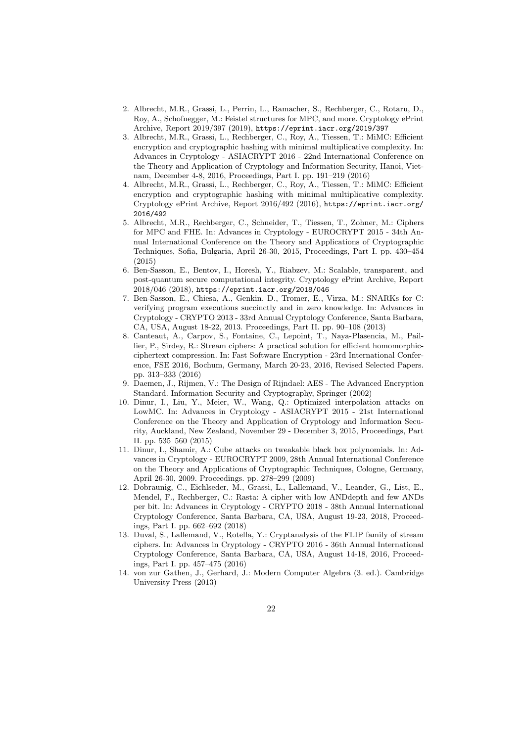- 2. Albrecht, M.R., Grassi, L., Perrin, L., Ramacher, S., Rechberger, C., Rotaru, D., Roy, A., Schofnegger, M.: Feistel structures for MPC, and more. Cryptology ePrint Archive, Report 2019/397 (2019), https://eprint.iacr.org/2019/397
- 3. Albrecht, M.R., Grassi, L., Rechberger, C., Roy, A., Tiessen, T.: MiMC: Efficient encryption and cryptographic hashing with minimal multiplicative complexity. In: Advances in Cryptology - ASIACRYPT 2016 - 22nd International Conference on the Theory and Application of Cryptology and Information Security, Hanoi, Vietnam, December 4-8, 2016, Proceedings, Part I. pp. 191–219 (2016)
- 4. Albrecht, M.R., Grassi, L., Rechberger, C., Roy, A., Tiessen, T.: MiMC: Efficient encryption and cryptographic hashing with minimal multiplicative complexity. Cryptology ePrint Archive, Report 2016/492 (2016), https://eprint.iacr.org/ 2016/492
- 5. Albrecht, M.R., Rechberger, C., Schneider, T., Tiessen, T., Zohner, M.: Ciphers for MPC and FHE. In: Advances in Cryptology - EUROCRYPT 2015 - 34th Annual International Conference on the Theory and Applications of Cryptographic Techniques, Sofia, Bulgaria, April 26-30, 2015, Proceedings, Part I. pp. 430–454 (2015)
- 6. Ben-Sasson, E., Bentov, I., Horesh, Y., Riabzev, M.: Scalable, transparent, and post-quantum secure computational integrity. Cryptology ePrint Archive, Report 2018/046 (2018), https://eprint.iacr.org/2018/046
- 7. Ben-Sasson, E., Chiesa, A., Genkin, D., Tromer, E., Virza, M.: SNARKs for C: verifying program executions succinctly and in zero knowledge. In: Advances in Cryptology - CRYPTO 2013 - 33rd Annual Cryptology Conference, Santa Barbara, CA, USA, August 18-22, 2013. Proceedings, Part II. pp. 90–108 (2013)
- 8. Canteaut, A., Carpov, S., Fontaine, C., Lepoint, T., Naya-Plasencia, M., Paillier, P., Sirdey, R.: Stream ciphers: A practical solution for efficient homomorphicciphertext compression. In: Fast Software Encryption - 23rd International Conference, FSE 2016, Bochum, Germany, March 20-23, 2016, Revised Selected Papers. pp. 313–333 (2016)
- 9. Daemen, J., Rijmen, V.: The Design of Rijndael: AES The Advanced Encryption Standard. Information Security and Cryptography, Springer (2002)
- 10. Dinur, I., Liu, Y., Meier, W., Wang, Q.: Optimized interpolation attacks on LowMC. In: Advances in Cryptology - ASIACRYPT 2015 - 21st International Conference on the Theory and Application of Cryptology and Information Security, Auckland, New Zealand, November 29 - December 3, 2015, Proceedings, Part II. pp. 535–560 (2015)
- 11. Dinur, I., Shamir, A.: Cube attacks on tweakable black box polynomials. In: Advances in Cryptology - EUROCRYPT 2009, 28th Annual International Conference on the Theory and Applications of Cryptographic Techniques, Cologne, Germany, April 26-30, 2009. Proceedings. pp. 278–299 (2009)
- 12. Dobraunig, C., Eichlseder, M., Grassi, L., Lallemand, V., Leander, G., List, E., Mendel, F., Rechberger, C.: Rasta: A cipher with low ANDdepth and few ANDs per bit. In: Advances in Cryptology - CRYPTO 2018 - 38th Annual International Cryptology Conference, Santa Barbara, CA, USA, August 19-23, 2018, Proceedings, Part I. pp. 662–692 (2018)
- 13. Duval, S., Lallemand, V., Rotella, Y.: Cryptanalysis of the FLIP family of stream ciphers. In: Advances in Cryptology - CRYPTO 2016 - 36th Annual International Cryptology Conference, Santa Barbara, CA, USA, August 14-18, 2016, Proceedings, Part I. pp. 457–475 (2016)
- 14. von zur Gathen, J., Gerhard, J.: Modern Computer Algebra (3. ed.). Cambridge University Press (2013)